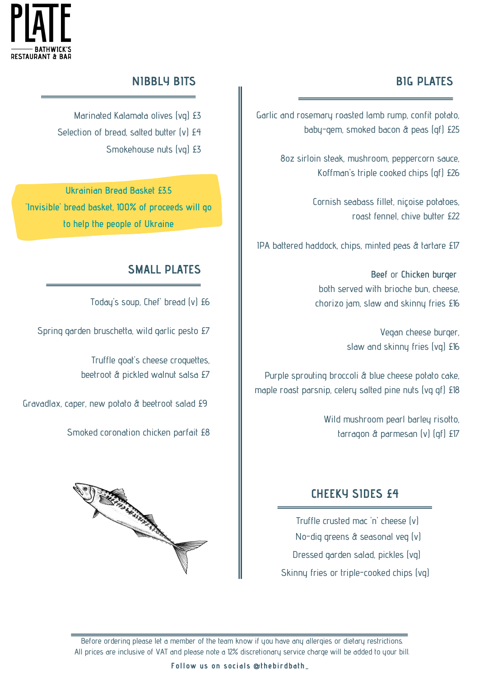

## **NIBBLY BITS BIG PLATES**

Garlic and rosemary roasted lamb rump, confit potato, baby-gem, smoked bacon & peas (gf) £25

> 8oz sirloin steak, mushroom, peppercorn sauce, Koffman's triple cooked chips (gf) £26

> > Cornish seabass fillet, niçoise potatoes, roast fennel, chive butter £22

IPA battered haddock, chips, minted peas & tartare £17

**Beef** or **Chicken burger** both served with brioche bun, cheese, chorizo jam, slaw and skinny fries £16

> Vegan cheese burger, slaw and skinny fries (vg) £16

Purple sprouting broccoli & blue cheese potato cake, maple roast parsnip, celery salted pine nuts (vg gf) £18

> Wild mushroom pearl barley risotto, tarragon & parmesan (v) (gf) £17

## **RANGE AND READER**

**SMALL PLATES**

Today's soup, Chef' bread (v) £6

Marinated Kalamata olives (vg) £3

Smokehouse nuts (vg) £3

Selection of bread, salted butter (v) £4

**Ukrainian Bread Basket £3.5**

**'Invisible' bread basket, 100% of proceeds will go**

**to help the people of Ukraine**

Truffle goat's cheese croquettes, beetroot & pickled walnut salsa £7

Smoked coronation chicken parfait £8

Spring garden bruschetta, wild garlic pesto £7

Gravadlax, caper, new potato & beetroot salad £9

## **CHEEKY SIDES £4**

Truffle crusted mac 'n' cheese (v) No-dig greens & seasonal veg (v) Dressed garden salad, pickles (vg) Skinny fries or triple-cooked chips (vg)

Before ordering please let a member of the team know if you have any allergies or dietary restrictions. All prices are inclusive of VAT and please note a 12% discretionary service charge will be added to your bill.

**Follow us on socials @thebirdbath\_**